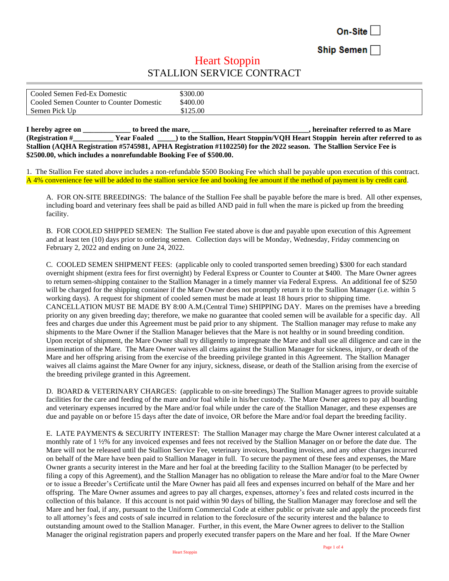On-Site

Ship Semen

## **Heart Stoppin** STALLION SERVICE CONTRACT

| Cooled Semen Fed-Ex Domestic             | \$300.00 |
|------------------------------------------|----------|
| Cooled Semen Counter to Counter Domestic | \$400.00 |
| Semen Pick Up                            | \$125.00 |

**I** hereby agree on to breed the mare, the mare is a substitute of the mare  $\mathbf{r}$ , hereinafter referred to as Mare **(Registration #\_\_\_\_\_\_\_\_\_\_\_ Year Foaled \_\_\_\_\_) to the Stallion, Heart Stoppin/VQH Heart Stoppin herein after referred to as Stallion (AQHA Registration #5745981, APHA Registration #1102250) for the 2022 season. The Stallion Service Fee is \$2500.00, which includes a nonrefundable Booking Fee of \$500.00.**

1. The Stallion Fee stated above includes a non-refundable \$500 Booking Fee which shall be payable upon execution of this contract. A 4% convenience fee will be added to the stallion service fee and booking fee amount if the method of payment is by credit card.

A. FOR ON-SITE BREEDINGS: The balance of the Stallion Fee shall be payable before the mare is bred. All other expenses, including board and veterinary fees shall be paid as billed AND paid in full when the mare is picked up from the breeding facility.

B. FOR COOLED SHIPPED SEMEN: The Stallion Fee stated above is due and payable upon execution of this Agreement and at least ten (10) days prior to ordering semen. Collection days will be Monday, Wednesday, Friday commencing on February 2, 2022 and ending on June 24, 2022.

C. COOLED SEMEN SHIPMENT FEES: (applicable only to cooled transported semen breeding) \$300 for each standard overnight shipment (extra fees for first overnight) by Federal Express or Counter to Counter at \$400. The Mare Owner agrees to return semen-shipping container to the Stallion Manager in a timely manner via Federal Express. An additional fee of \$250 will be charged for the shipping container if the Mare Owner does not promptly return it to the Stallion Manager (i.e. within 5 working days). A request for shipment of cooled semen must be made at least 18 hours prior to shipping time. CANCELLATION MUST BE MADE BY 8:00 A.M.(Central Time) SHIPPING DAY. Mares on the premises have a breeding priority on any given breeding day; therefore, we make no guarantee that cooled semen will be available for a specific day. All fees and charges due under this Agreement must be paid prior to any shipment. The Stallion manager may refuse to make any shipments to the Mare Owner if the Stallion Manager believes that the Mare is not healthy or in sound breeding condition. Upon receipt of shipment, the Mare Owner shall try diligently to impregnate the Mare and shall use all diligence and care in the insemination of the Mare. The Mare Owner waives all claims against the Stallion Manager for sickness, injury, or death of the Mare and her offspring arising from the exercise of the breeding privilege granted in this Agreement. The Stallion Manager waives all claims against the Mare Owner for any injury, sickness, disease, or death of the Stallion arising from the exercise of the breeding privilege granted in this Agreement.

D. BOARD & VETERINARY CHARGES: (applicable to on-site breedings) The Stallion Manager agrees to provide suitable facilities for the care and feeding of the mare and/or foal while in his/her custody. The Mare Owner agrees to pay all boarding and veterinary expenses incurred by the Mare and/or foal while under the care of the Stallion Manager, and these expenses are due and payable on or before 15 days after the date of invoice, OR before the Mare and/or foal depart the breeding facility.

E. LATE PAYMENTS & SECURITY INTEREST: The Stallion Manager may charge the Mare Owner interest calculated at a monthly rate of 1 ½% for any invoiced expenses and fees not received by the Stallion Manager on or before the date due. The Mare will not be released until the Stallion Service Fee, veterinary invoices, boarding invoices, and any other charges incurred on behalf of the Mare have been paid to Stallion Manager in full. To secure the payment of these fees and expenses, the Mare Owner grants a security interest in the Mare and her foal at the breeding facility to the Stallion Manager (to be perfected by filing a copy of this Agreement), and the Stallion Manager has no obligation to release the Mare and/or foal to the Mare Owner or to issue a Breeder's Certificate until the Mare Owner has paid all fees and expenses incurred on behalf of the Mare and her offspring. The Mare Owner assumes and agrees to pay all charges, expenses, attorney's fees and related costs incurred in the collection of this balance. If this account is not paid within 90 days of billing, the Stallion Manager may foreclose and sell the Mare and her foal, if any, pursuant to the Uniform Commercial Code at either public or private sale and apply the proceeds first to all attorney's fees and costs of sale incurred in relation to the foreclosure of the security interest and the balance to outstanding amount owed to the Stallion Manager. Further, in this event, the Mare Owner agrees to deliver to the Stallion Manager the original registration papers and properly executed transfer papers on the Mare and her foal. If the Mare Owner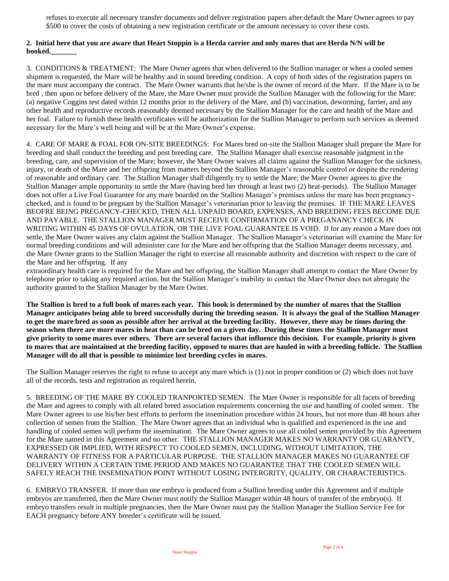refuses to execute all necessary transfer documents and deliver registration papers after default the Mare Owner agrees to pay \$500 to cover the costs of obtaining a new registration certificate or the amount necessary to cover these costs.

## **2. Initial here that you are aware that Heart Stoppin is a Herda carrier and only mares that are Herda N/N will be booked.\_\_\_\_\_\_\_**

3. CONDITIONS & TREATMENT: The Mare Owner agrees that when delivered to the Stallion manager or when a cooled semen shipment is requested, the Mare will be healthy and in sound breeding condition. A copy of both sides of the registration papers on the mare must accompany the contract. The Mare Owner warrants that he/she is the owner of record of the Mare. If the Mare is to be bred , then upon or before delivery of the Mare, the Mare Owner must provide the Stallion Manager with the following for the Mare: (a) negative Coggins test dated within 12 months prior to the delivery of the Mare, and (b) vaccination, deworming, farrier, and any other health and reproductive records reasonably deemed necessary by the Stallion Manager for the care and health of the Mare and her foal. Failure to furnish these health certificates will be authorization for the Stallion Manager to perform such services as deemed necessary for the Mare's well being and will be at the Mare Owner's expense.

4. CARE OF MARE & FOAL FOR ON-SITE BREEDINGS: For Mares bred on-site the Stallion Manager shall prepare the Mare for breeding and shall conduct the breeding and post breeding care. The Stallion Manager shall exercise reasonable judgment in the breeding, care, and supervision of the Mare; however, the Mare Owner waives all claims against the Stallion Manager for the sickness, injury, or death of the Mare and her offspring from matters beyond the Stallion Manager's reasonable control or despite the rendering of reasonable and ordinary care. The Stallion Manager shall diligently try to settle the Mare; the Mare Owner agrees to give the Stallion Manager ample opportunity to settle the Mare (having bred her through at least two (2) heat-periods). The Stallion Manager does not offer a Live Foal Guarantee for any mare boarded on the Stallion Manager's premises unless the mare has been pregnancychecked, and is found to be pregnant by the Stallion Manager's veterinarian prior to leaving the premises. IF THE MARE LEAVES BEOFRE BEING PREGANCY-CHECKED, THEN ALL UNPAID BOARD, EXPENSES, AND BREEDING FEES BECOME DUE AND PAYABLE. THE STALLION MANAGER MUST RECEIVE CONFIRMATION OF A PREGANANCY CHECK IN WRITING WITHIN 45 DAYS OF OVULATION, OR THE LIVE FOAL GUARANTEE IS VOID. If for any reason a Mare does not settle, the Mare Owner waives any claim against the Stallion Manager. The Stallion Manager's veterinarian will examine the Mare for normal breeding conditions and will administer care for the Mare and her offspring that the Stallion Manager deems necessary, and the Mare Owner grants to the Stallion Manager the right to exercise all reasonable authority and discretion with respect to the care of the Mare and her offspring. If any

extraordinary health care is required for the Mare and her offspring, the Stallion Manager shall attempt to contact the Mare Owner by telephone prior to taking any required action, but the Stallion Manager's inability to contact the Mare Owner does not abrogate the authority granted to the Stallion Manager by the Mare Owner.

**The Stallion is bred to a full book of mares each year. This book is determined by the number of mares that the Stallion Manager anticipates being able to breed successfully during the breeding season. It is always the goal of the Stallion Manager to get the mare bred as soon as possible after her arrival at the breeding facility. However, there may be times during the season when there are more mares in heat than can be bred on a given day. During these times the Stallion Manager must give priority to some mares over others. There are several factors that influence this decision. For example, priority is given to mares that are maintained at the breeding facility, opposed to mares that are hauled in with a breeding follicle. The Stallion Manager will do all that is possible to minimize lost breeding cycles in mares.** 

The Stallion Manager reserves the right to refuse to accept any mare which is (1) not in proper condition or (2) which does not have all of the records, tests and registration as required herein.

5. BREEDING OF THE MARE BY COOLED TRANPORTED SEMEN. The Mare Owner is responsible for all facets of breeding the Mare and agrees to comply with all related breed association requirements concerning the use and handling of cooled semen. The Mare Owner agrees to use his/her best efforts to perform the insemination procedure within 24 hours, but not more than 48 hours after collection of semen from the Stallion. The Mare Owner agrees that an individual who is qualified and experienced in the use and handling of cooled semen will perform the insemination. The Mare Owner agrees to use all cooled semen provided by this Agreement for the Mare named in this Agreement and no other. THE STALLION MANAGER MAKES NO WARRANTY OR GUARANTY, EXPRESSED OR IMPLIED, WITH RESPECT TO COOLED SEMEN, INCLUDING, WITHOUT LIMITATION, THE WARRANTY OF FITNESS FOR A PARTICULAR PURPOSE. THE STALLION MANAGER MAKES NO GUARANTEE OF DELIVERY WITHIN A CERTAIN TIME PERIOD AND MAKES NO GUARANTEE THAT THE COOLED SEMEN WILL SAFELY REACH THE INSEMINATION POINT WITHOUT LOSING INTERGRITY, QUALITY, OR CHARACTERISTICS.

6. EMBRYO TRANSFER. If more than one embryo is produced from a Stallion breeding under this Agreement and if multiple embryos are transferred, then the Mare Owner must notify the Stallion Manager within 48 hours of transfer of the embryo(s). If embryo transfers result in multiple pregnancies, then the Mare Owner must pay the Stallion Manager the Stallion Service Fee for EACH pregnancy before ANY breeder's certificate will be issued.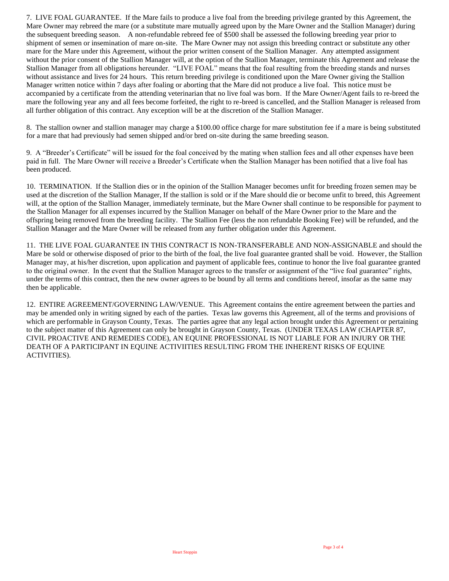7. LIVE FOAL GUARANTEE. If the Mare fails to produce a live foal from the breeding privilege granted by this Agreement, the Mare Owner may rebreed the mare (or a substitute mare mutually agreed upon by the Mare Owner and the Stallion Manager) during the subsequent breeding season. A non-refundable rebreed fee of \$500 shall be assessed the following breeding year prior to shipment of semen or insemination of mare on-site. The Mare Owner may not assign this breeding contract or substitute any other mare for the Mare under this Agreement, without the prior written consent of the Stallion Manager. Any attempted assignment without the prior consent of the Stallion Manager will, at the option of the Stallion Manager, terminate this Agreement and release the Stallion Manager from all obligations hereunder. "LIVE FOAL" means that the foal resulting from the breeding stands and nurses without assistance and lives for 24 hours. This return breeding privilege is conditioned upon the Mare Owner giving the Stallion Manager written notice within 7 days after foaling or aborting that the Mare did not produce a live foal. This notice must be accompanied by a certificate from the attending veterinarian that no live foal was born. If the Mare Owner/Agent fails to re-breed the mare the following year any and all fees become forfeited, the right to re-breed is cancelled, and the Stallion Manager is released from all further obligation of this contract. Any exception will be at the discretion of the Stallion Manager.

8. The stallion owner and stallion manager may charge a \$100.00 office charge for mare substitution fee if a mare is being substituted for a mare that had previously had semen shipped and/or bred on-site during the same breeding season.

9. A "Breeder's Certificate" will be issued for the foal conceived by the mating when stallion fees and all other expenses have been paid in full. The Mare Owner will receive a Breeder's Certificate when the Stallion Manager has been notified that a live foal has been produced.

10. TERMINATION. If the Stallion dies or in the opinion of the Stallion Manager becomes unfit for breeding frozen semen may be used at the discretion of the Stallion Manager, If the stallion is sold or if the Mare should die or become unfit to breed, this Agreement will, at the option of the Stallion Manager, immediately terminate, but the Mare Owner shall continue to be responsible for payment to the Stallion Manager for all expenses incurred by the Stallion Manager on behalf of the Mare Owner prior to the Mare and the offspring being removed from the breeding facility. The Stallion Fee (less the non refundable Booking Fee) will be refunded, and the Stallion Manager and the Mare Owner will be released from any further obligation under this Agreement.

11. THE LIVE FOAL GUARANTEE IN THIS CONTRACT IS NON-TRANSFERABLE AND NON-ASSIGNABLE and should the Mare be sold or otherwise disposed of prior to the birth of the foal, the live foal guarantee granted shall be void. However, the Stallion Manager may, at his/her discretion, upon application and payment of applicable fees, continue to honor the live foal guarantee granted to the original owner. In the event that the Stallion Manager agrees to the transfer or assignment of the "live foal guarantee" rights, under the terms of this contract, then the new owner agrees to be bound by all terms and conditions hereof, insofar as the same may then be applicable.

12. ENTIRE AGREEMENT/GOVERNING LAW/VENUE. This Agreement contains the entire agreement between the parties and may be amended only in writing signed by each of the parties. Texas law governs this Agreement, all of the terms and provisions of which are performable in Grayson County, Texas. The parties agree that any legal action brought under this Agreement or pertaining to the subject matter of this Agreement can only be brought in Grayson County, Texas. (UNDER TEXAS LAW (CHAPTER 87, CIVIL PROACTIVE AND REMEDIES CODE), AN EQUINE PROFESSIONAL IS NOT LIABLE FOR AN INJURY OR THE DEATH OF A PARTICIPANT IN EQUINE ACTIVIITIES RESULTING FROM THE INHERENT RISKS OF EQUINE ACTIVITIES).